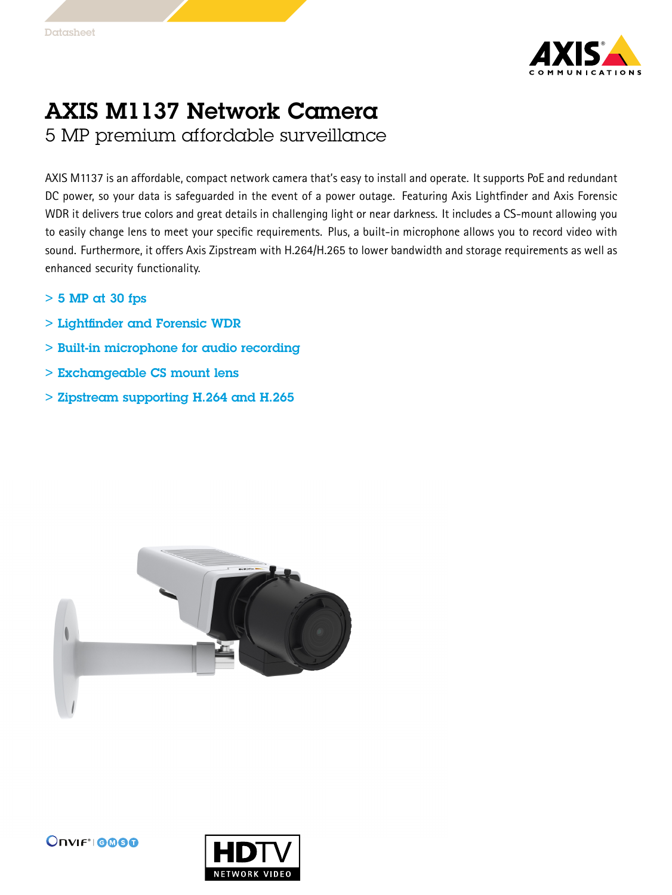

## AXIS M1137 Network Camera 5 MP premium affordable surveillance

AXIS M1137 is an affordable, compact network camera that's easy to install and operate. It supports PoE and redundant DC power, so your data is safeguarded in the event of <sup>a</sup> power outage. Featuring Axis Lightfinder and Axis Forensic WDR it delivers true colors and great details in challenging light or near darkness. It includes <sup>a</sup> CS-mount allowing you to easily change lens to meet your specific requirements. Plus, <sup>a</sup> built-in microphone allows you to record video with sound. Furthermore, it offers Axis Zipstream with H.264/H.265 to lower bandwidth and storage requirements as well as enhanced security functionality.

- $> 5$  MP at 30 fps
- > Lightfinder and Forensic WDR
- > Built-in microphone for audio recording
- > Exchangeable CS mount lens
- > Zipstream supporting H.264 and H.265





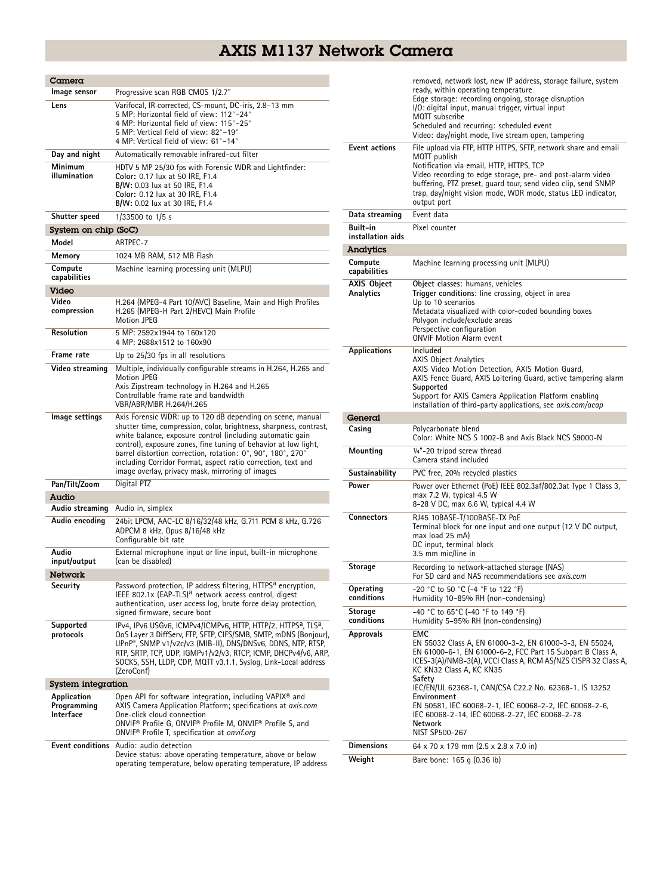## AXIS M1137 Network Camera

| Camera                                  |                                                                                                                                                                                                                                                                                                                                                                                                                                                     |
|-----------------------------------------|-----------------------------------------------------------------------------------------------------------------------------------------------------------------------------------------------------------------------------------------------------------------------------------------------------------------------------------------------------------------------------------------------------------------------------------------------------|
| lmage sensor                            | Progressive scan RGB CMOS 1/2.7"                                                                                                                                                                                                                                                                                                                                                                                                                    |
| Lens                                    | Varifocal, IR corrected, CS-mount, DC-iris, 2.8-13 mm<br>5 MP: Horizontal field of view: 112°-24°<br>4 MP: Horizontal field of view: 115°-25°<br>5 MP: Vertical field of view: 82°-19°<br>4 MP: Vertical field of view: 61°–14°                                                                                                                                                                                                                     |
| Day and night                           | Automatically removable infrared-cut filter                                                                                                                                                                                                                                                                                                                                                                                                         |
| Minimum<br>illumination                 | HDTV 5 MP 25/30 fps with Forensic WDR and Lightfinder:<br>Color: 0.17 lux at 50 IRE, F1.4<br>B/W: 0.03 lux at 50 IRE, F1.4<br>Color: 0.12 lux at 30 IRE, F1.4<br>B/W: 0.02 lux at 30 IRE, F1.4                                                                                                                                                                                                                                                      |
| Shutter speed                           | 1/33500 to 1/5 s                                                                                                                                                                                                                                                                                                                                                                                                                                    |
| System on chip (SoC)                    |                                                                                                                                                                                                                                                                                                                                                                                                                                                     |
| Model                                   | ARTPEC-7                                                                                                                                                                                                                                                                                                                                                                                                                                            |
| Memory                                  | 1024 MB RAM, 512 MB Flash                                                                                                                                                                                                                                                                                                                                                                                                                           |
| Compute<br>capabilities                 | Machine learning processing unit (MLPU)                                                                                                                                                                                                                                                                                                                                                                                                             |
| Video                                   |                                                                                                                                                                                                                                                                                                                                                                                                                                                     |
| Video<br>compression                    | H.264 (MPEG-4 Part 10/AVC) Baseline, Main and High Profiles<br>H.265 (MPEG-H Part 2/HEVC) Main Profile<br><b>Motion JPEG</b>                                                                                                                                                                                                                                                                                                                        |
| <b>Resolution</b>                       | 5 MP: 2592x1944 to 160x120<br>4 MP: 2688x1512 to 160x90                                                                                                                                                                                                                                                                                                                                                                                             |
| Frame rate                              | Up to 25/30 fps in all resolutions                                                                                                                                                                                                                                                                                                                                                                                                                  |
| Video streaming                         | Multiple, individually configurable streams in H.264, H.265 and<br><b>Motion JPEG</b><br>Axis Zipstream technology in H.264 and H.265<br>Controllable frame rate and bandwidth<br>VBR/ABR/MBR H.264/H.265                                                                                                                                                                                                                                           |
| lmage settings                          | Axis Forensic WDR: up to 120 dB depending on scene, manual<br>shutter time, compression, color, brightness, sharpness, contrast,<br>white balance, exposure control (including automatic gain<br>control), exposure zones, fine tuning of behavior at low light,<br>barrel distortion correction, rotation: 0°, 90°, 180°, 270°<br>including Corridor Format, aspect ratio correction, text and<br>image overlay, privacy mask, mirroring of images |
| Pan/Tilt/Zoom                           | Digital PTZ                                                                                                                                                                                                                                                                                                                                                                                                                                         |
| Audio                                   |                                                                                                                                                                                                                                                                                                                                                                                                                                                     |
| Audio streaming                         | Audio in, simplex                                                                                                                                                                                                                                                                                                                                                                                                                                   |
| Audio encoding                          | 24bit LPCM, AAC-LC 8/16/32/48 kHz, G.711 PCM 8 kHz, G.726<br>ADPCM 8 kHz, Opus 8/16/48 kHz<br>Configurable bit rate                                                                                                                                                                                                                                                                                                                                 |
| Audio<br>input/output                   | External microphone input or line input, built-in microphone<br>(can be disabled)                                                                                                                                                                                                                                                                                                                                                                   |
| <b>Network</b>                          |                                                                                                                                                                                                                                                                                                                                                                                                                                                     |
| Security                                | Password protection, IP address filtering, HTTPS <sup>a</sup> encryption,<br>IEEE 802.1x (EAP-TLS) <sup>a</sup> network access control, digest<br>authentication, user access log, brute force delay protection,<br>signed firmware, secure boot                                                                                                                                                                                                    |
| Supported<br>protocols                  | IPv4, IPv6 USGv6, ICMPv4/ICMPv6, HTTP, HTTP/2, HTTPS <sup>a</sup> , TLS <sup>a</sup> ,<br>QoS Layer 3 DiffServ, FTP, SFTP, CIFS/SMB, SMTP, mDNS (Bonjour),<br>UPnP®, SNMP v1/v2c/v3 (MIB-II), DNS/DNSv6, DDNS, NTP, RTSP,<br>RTP, SRTP, TCP, UDP, IGMPv1/v2/v3, RTCP, ICMP, DHCPv4/v6, ARP,<br>SOCKS, SSH, LLDP, CDP, MQTT v3.1.1, Syslog, Link-Local address<br>(ZeroConf)                                                                         |
| System integration                      |                                                                                                                                                                                                                                                                                                                                                                                                                                                     |
| Application<br>Programming<br>Interface | Open API for software integration, including VAPIX <sup>®</sup> and<br>AXIS Camera Application Platform; specifications at axis.com<br>One-click cloud connection<br>ONVIF <sup>®</sup> Profile G, ONVIF® Profile M, ONVIF® Profile S, and<br>ONVIF <sup>®</sup> Profile T, specification at onvif.org                                                                                                                                              |
| <b>Event conditions</b>                 | Audio: audio detection<br>Device status: above operating temperature, above or below<br>operating temperature, below operating temperature, IP address                                                                                                                                                                                                                                                                                              |

|                                      | removed, network lost, new IP address, storage failure, system<br>ready, within operating temperature<br>Edge storage: recording ongoing, storage disruption<br>I/O: digital input, manual trigger, virtual input<br>MQTT subscribe<br>Scheduled and recurring: scheduled event<br>Video: day/night mode, live stream open, tampering                                                                                                                  |
|--------------------------------------|--------------------------------------------------------------------------------------------------------------------------------------------------------------------------------------------------------------------------------------------------------------------------------------------------------------------------------------------------------------------------------------------------------------------------------------------------------|
| <b>Event actions</b>                 | File upload via FTP, HTTP HTTPS, SFTP, network share and email<br>MQTT publish<br>Notification via email, HTTP, HTTPS, TCP<br>Video recording to edge storage, pre- and post-alarm video<br>buffering, PTZ preset, quard tour, send video clip, send SNMP<br>trap, day/night vision mode, WDR mode, status LED indicator,<br>output port                                                                                                               |
| Data streaming                       | Event data                                                                                                                                                                                                                                                                                                                                                                                                                                             |
| <b>Built-in</b><br>installation aids | Pixel counter                                                                                                                                                                                                                                                                                                                                                                                                                                          |
| Analytics                            |                                                                                                                                                                                                                                                                                                                                                                                                                                                        |
| Compute<br>capabilities              | Machine learning processing unit (MLPU)                                                                                                                                                                                                                                                                                                                                                                                                                |
| AXIS Object<br>Analytics             | Object classes: humans, vehicles<br>Trigger conditions: line crossing, object in area<br>Up to 10 scenarios<br>Metadata visualized with color-coded bounding boxes<br>Polygon include/exclude areas<br>Perspective configuration<br><b>ONVIF Motion Alarm event</b>                                                                                                                                                                                    |
| Applications                         | Included<br><b>AXIS Object Analytics</b><br>AXIS Video Motion Detection, AXIS Motion Guard,<br>AXIS Fence Guard, AXIS Loitering Guard, active tampering alarm<br>Supported<br>Support for AXIS Camera Application Platform enabling<br>installation of third-party applications, see <i>axis.com/acap</i>                                                                                                                                              |
| General                              |                                                                                                                                                                                                                                                                                                                                                                                                                                                        |
| Casing                               | Polycarbonate blend<br>Color: White NCS S 1002-B and Axis Black NCS S9000-N                                                                                                                                                                                                                                                                                                                                                                            |
| Mounting                             | 1/4"-20 tripod screw thread<br>Camera stand included                                                                                                                                                                                                                                                                                                                                                                                                   |
| Sustainability                       | PVC free, 20% recycled plastics                                                                                                                                                                                                                                                                                                                                                                                                                        |
| Power                                | Power over Ethernet (PoE) IEEE 802.3af/802.3at Type 1 Class 3,<br>max 7.2 W, typical 4.5 W                                                                                                                                                                                                                                                                                                                                                             |
|                                      | 8-28 V DC, max 6.6 W, typical 4.4 W                                                                                                                                                                                                                                                                                                                                                                                                                    |
| <b>Connectors</b>                    | RJ45 10BASE-T/100BASE-TX PoE<br>Terminal block for one input and one output (12 V DC output,<br>max load 25 mA)<br>DC input, terminal block<br>3.5 mm mic/line in                                                                                                                                                                                                                                                                                      |
| Storage                              | Recording to network-attached storage (NAS)<br>For SD card and NAS recommendations see axis.com                                                                                                                                                                                                                                                                                                                                                        |
| Operating<br>conditions              | -20 °C to 50 °C (-4 °F to 122 °F)<br>Humidity 10-85% RH (non-condensing)                                                                                                                                                                                                                                                                                                                                                                               |
| Storage<br>conditions                | -40 °C to 65°C (-40 °F to 149 °F)<br>Humidity 5-95% RH (non-condensing)                                                                                                                                                                                                                                                                                                                                                                                |
| <b>Approvals</b>                     | EMC<br>EN 55032 Class A, EN 61000-3-2, EN 61000-3-3, EN 55024,<br>EN 61000-6-1, EN 61000-6-2, FCC Part 15 Subpart B Class A,<br>ICES-3(A)/NMB-3(A), VCCI Class A, RCM AS/NZS CISPR 32 Class A,<br>KC KN32 Class A, KC KN35<br>Safety<br>IEC/EN/UL 62368-1, CAN/CSA C22.2 No. 62368-1, IS 13252<br>Environment<br>EN 50581, IEC 60068-2-1, IEC 60068-2-2, IEC 60068-2-6,<br>IEC 60068-2-14, IEC 60068-2-27, IEC 60068-2-78<br>Network<br>NIST SP500-267 |
| <b>Dimensions</b>                    | 64 x 70 x 179 mm (2.5 x 2.8 x 7.0 in)                                                                                                                                                                                                                                                                                                                                                                                                                  |